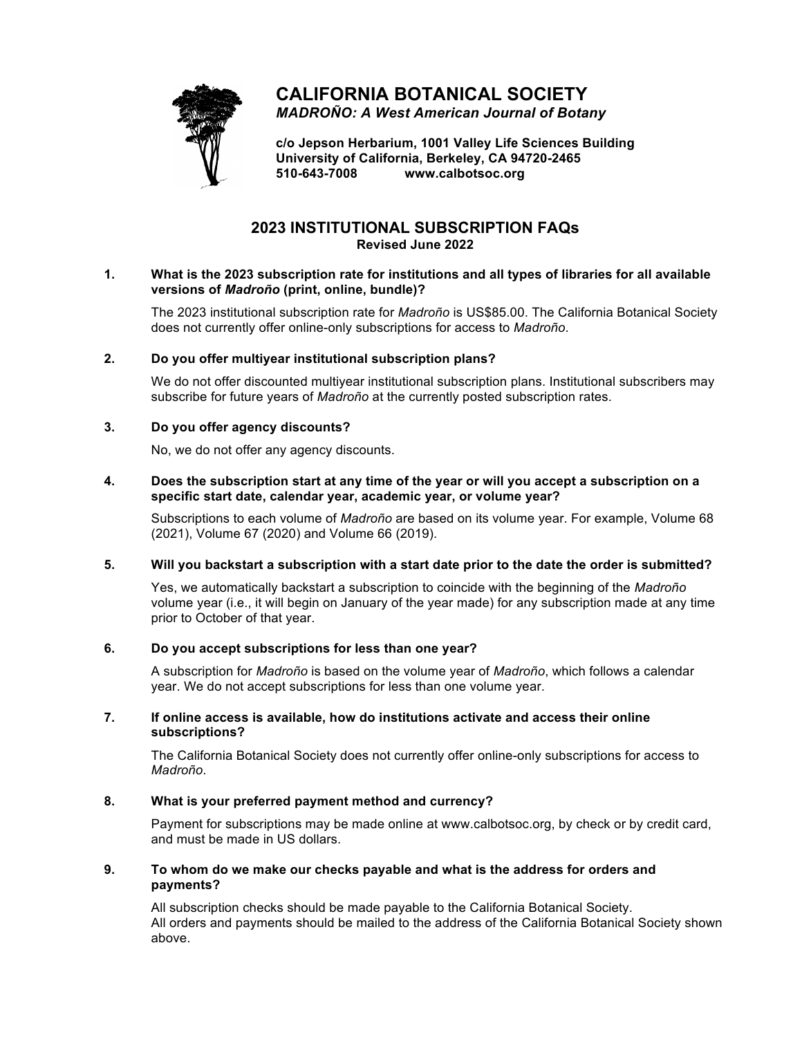

# **CALIFORNIA BOTANICAL SOCIETY**

*MADROÑO: A West American Journal of Botany*

**c/o Jepson Herbarium, 1001 Valley Life Sciences Building University of California, Berkeley, CA 94720-2465 510-643-7008 www.calbotsoc.org**

## **2023 INSTITUTIONAL SUBSCRIPTION FAQs Revised June 2022**

#### **1. What is the 2023 subscription rate for institutions and all types of libraries for all available versions of** *Madroño* **(print, online, bundle)?**

The 2023 institutional subscription rate for *Madroño* is US\$85.00. The California Botanical Society does not currently offer online-only subscriptions for access to *Madroño*.

#### **2. Do you offer multiyear institutional subscription plans?**

We do not offer discounted multiyear institutional subscription plans. Institutional subscribers may subscribe for future years of *Madroño* at the currently posted subscription rates.

#### **3. Do you offer agency discounts?**

No, we do not offer any agency discounts.

#### **4. Does the subscription start at any time of the year or will you accept a subscription on a specific start date, calendar year, academic year, or volume year?**

Subscriptions to each volume of *Madroño* are based on its volume year. For example, Volume 68 (2021), Volume 67 (2020) and Volume 66 (2019).

#### **5. Will you backstart a subscription with a start date prior to the date the order is submitted?**

Yes, we automatically backstart a subscription to coincide with the beginning of the *Madroño* volume year (i.e., it will begin on January of the year made) for any subscription made at any time prior to October of that year.

### **6. Do you accept subscriptions for less than one year?**

A subscription for *Madroño* is based on the volume year of *Madroño*, which follows a calendar year. We do not accept subscriptions for less than one volume year.

#### **7. If online access is available, how do institutions activate and access their online subscriptions?**

The California Botanical Society does not currently offer online-only subscriptions for access to *Madroño*.

#### **8. What is your preferred payment method and currency?**

Payment for subscriptions may be made online at www.calbotsoc.org, by check or by credit card, and must be made in US dollars.

#### **9. To whom do we make our checks payable and what is the address for orders and payments?**

All subscription checks should be made payable to the California Botanical Society. All orders and payments should be mailed to the address of the California Botanical Society shown above.